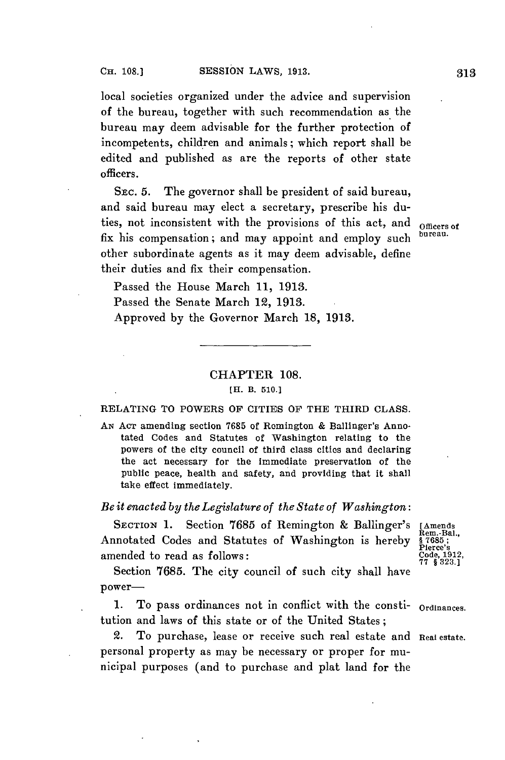local societies organized under the advice and supervision of the bureau, together with such recommendation as the bureau may deem advisable for the further protection of incompetents, children and animals; which report shall be edited and published as are the reports of other state officers.

SEC. **5.** The governor shall be president of said bureau, and said bureau may elect a secretary, prescribe his duties, not inconsistent with the provisions of this act, and **officers** of fix his compensation; and may appoint and employ such other subordinate agents as it may deem advisable, define their duties and fix their compensation.

Passed the House March **11, 1913.** Passed the Senate March 12, **1913.** Approved **by** the Governor March **18, 1913.**

## CHAPTER **108.**

### [H. B. **510.]**

### **RELATING** TO POWERS OF CITIES OF THE THIRD **CLASS.**

*AN* **ACT** amending section **7685** of Romington **&** Ballinger's Annotated Codes and Statutes of Washington relating to the powers of the city council of third class cities and declaring the act necessary for the immediate preservation of the public peace, health and safety, and providing that it shall take effect immediately.

### *Be it enacted by the Legislature of the State of Washington:*

SECTION 1. Section 7685 of Remington & Ballinger's [Amends Rem.-Bal., notated Codes and Statutes of Washington is hereby \$7685; Annotated Codes and Statutes of Washington is hereby **§ 7685;**<br>amended to read as follows: Code, 1912, Code, 1912, 2006, 1912, 2006, 1912, amended to read as follows:

Section **7685.** The city council of such city shall have power-

**1.** To pass ordinances not in conflict with the consti- **Ordinances.** tution and laws of this state or of the United States;

2. To purchase, lease or receive such real estate and **Real estate.** personal property as may be necessary or proper for municipal purposes (and to purchase and plat land for the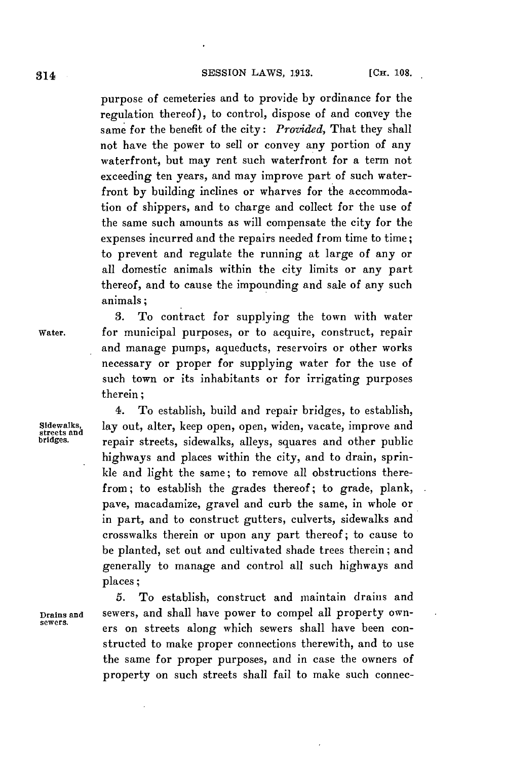purpose of cemeteries and to provide **by** ordinance for the regulation thereof), to control, dispose of and convey the same for the benefit of the city: *Provided,* That they shall not have the power to sell or convey any portion of any waterfront, but may rent such waterfront for a term not exceeding ten years, and may improve part of such waterfront **by** building inclines or wharves for the accommodation of shippers, and to charge and collect for the use of the same such amounts as will compensate the city for the expenses incurred and the repairs needed from time to time; to prevent and regulate the running at large of any or all domestic animals within the city limits or any part thereof, and **to** cause the impounding and sale of any such animals;

**3.** To contract for supplying the town with water

and manage pumps, aqueducts, reservoirs or other works necessary or proper for supplying water for the use of such town or its inhabitants or for irrigating purposes

**Water.** for municipal purposes, or to acquire, construct, repair

therein;

4. To establish, build and repair bridges, to establish, Sidewalks, lay out, alter, keep open, open, widen, vacate, improve and<br>streets and **repaint in the streets** sidewalks alleys squares and other public repair streets, sidewalks, alleys, squares and other public highways and places within the city, and to drain, sprinkle and light the same; to remove all obstructions therefrom; to establish the grades thereof; to grade, plank, pave, macadamize, gravel and curb the same, in whole or in part, and to construct gutters, culverts, sidewalks and crosswalks therein or upon any part thereof; to cause to be planted, set out and cultivated shade trees therein; and generally to manage and control all such highways and places;

**5.** To establish, construct and maintain drains and **Drains and** sewers, and shall have power to compel all property owners on streets along which sewers shall have been constructed to make proper connections therewith, and to use the same for proper purposes, and in case the owners of property on such streets shall fail to make such connec-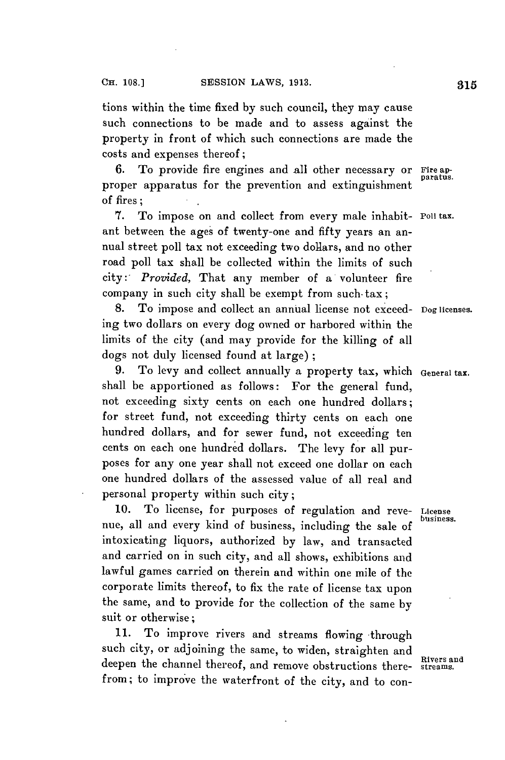tions within the time fixed **by** such council, they may cause such connections to be made and to assess against the property in front of which such connections are made the costs and expenses thereof **;**

**6.** To provide fire engines and all other necessary or **Fire ap**proper apparatus for the prevention and extinguishment **p of** fires; **.**

**7.** To impose on and collect from every male inhabit- **Poil tax.** ant between the ages of twenty-one and fifty years an annual street poll tax not exceeding two dollars, and no other road poll tax shall be collected within the limits of such *city: Provided,* That any member of a volunteer fire company in such city shall be exempt from such- tax;

**8.** To impose and collect an annual license not exceed- **Dog licenses.** ing two dollars on every dog owned or harbored within the limits of the city (and may provide for the killing of all dogs not duly licensed found at large);

**9.** To levy and collect annually a property tax, which **General tax.** shall be apportioned as follows: For the general fund, not exceeding sixty cents on each one hundred dollars; for street fund, not exceeding thirty cents on each one hundred dollars, and for sewer fund, not exceeding ten cents on each one hundred dollars. The levy for all purposes for any one year shall not exceed one dollar on each one hundred dollars of the assessed value of all real and personal property within such city;

**10.** To license, for purposes of regulation and reve- **License** . **business.** nue, all and every kind of business, including the sale of intoxicating liquors, authorized **by** law, and transacted and carried on in such city, and all shows, exhibitions and lawful games carried on therein and within one mile of the corporate limits thereof, to fix the rate of license tax upon the same, and to provide for the collection of the same **by** suit or otherwise;

11. To improve rivers and streams flowing through such city, or adjoining the same, to widen, straighten and deepen the channel thereof, and remove obstructions there- **streams.** from; to improve the waterfront of the city, and to con-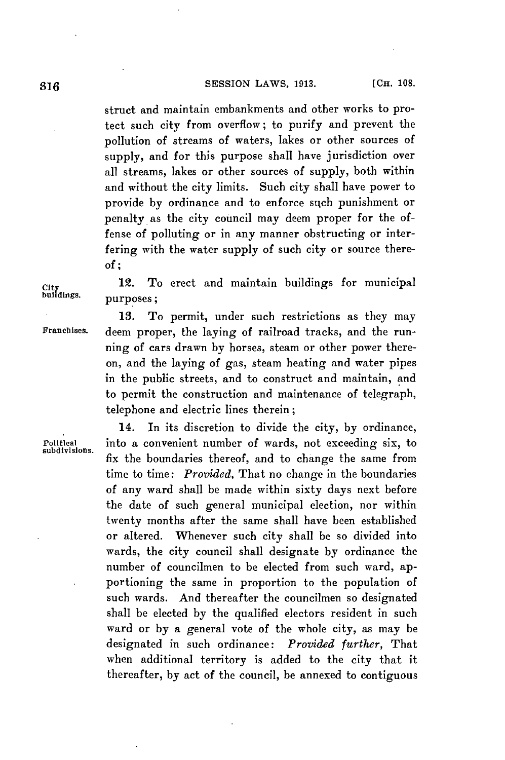# SESSION LAWS, 1913. [CH. 108.

struct and maintain embankments and other works to protect such city from overflow; to purify and prevent the pollution of streams of waters, lakes or other sources of supply, and for this purpose shall have jurisdiction over all streams, lakes or other sources of supply, both within and without the city limits. Such city shall have power to provide by ordinance and to enforce such punishment or penalty as the city council may deem proper for the offense of polluting or in any manner obstructing or interfering with the water supply of such city or source there*of;*

12. To erect and maintain buildings for municipal  $City$ <br>buildings. purposes;

subdivisions.

**13.** To permit, under such restrictions as they may Franchises. deem proper, the laving of railroad tracks, and the running of cars drawn **by** horses, steam or other power thereon, and the laying of gas, steam heating and water pipes in the public streets, and to construct and maintain, and to permit the construction and maintenance of telegraph, telephone and electric lines therein;

14. In its discretion to divide the city, **by** ordinance, Political into a convenient number of wards, not exceeding six, to fix the boundaries thereof, and to change the same from time to time: *Provided,* That no change in the boundaries of any ward shall be made within sixty days next before the date of such general municipal election, nor within twenty months after the same shall have been established or altered. Whenever such city shall be so divided into wards, the city council shall designate **by** ordinance the number of councilmen to be elected from such ward, apportioning the same in proportion to the population of such wards. And thereafter the councilmen so designated shall be elected **by** the qualified electors resident in such ward or **by** a general vote of the whole city, as may be designated in such ordinance: *Provided further,* That when additional territory is added to the city that it thereafter, **by** act of the council, be annexed to contiguous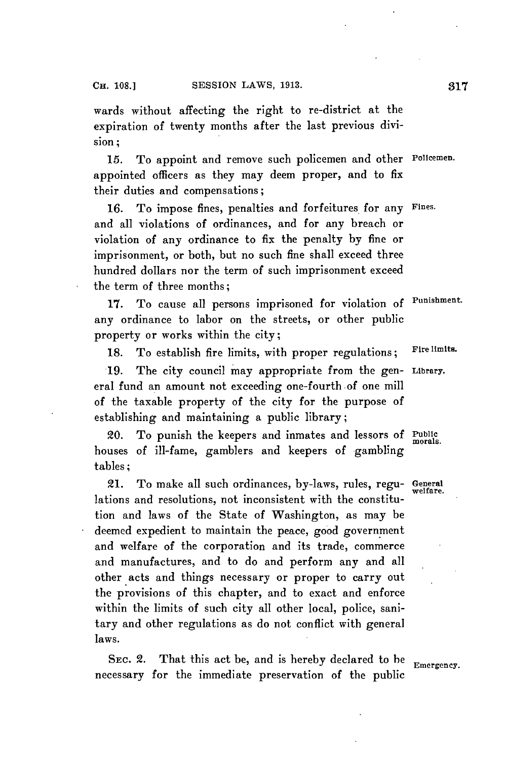wards without affecting the right to re-district at the expiration of twenty months after the last previous division;

**15.** To appoint and remove such policemen and other **Policemen.** appointed officers as they may deem proper, and to fix their duties and compensations;

**16.** To impose fines, penalties and forfeitures for any **Fines.** and all violations of ordinances, and for any breach or violation of any ordinance to fix the penalty **by** fine or imprisonment, or both, but no such fine shall exceed three hundred dollars nor the term of such imprisonment exceed the term of three months;

**17.** To cause all persons imprisoned for violation of **Punishment.** any ordinance to labor on the streets, or other public property or works within the city;

**18.** To establish fire limits, with proper regulations; **Fire limits.**

**19.** The city council may appropriate from the gen- **Library.** eral fund an amount not exceeding one-fourth of one mill of the taxable property of the city for the purpose of establishing and maintaining a public library;

20. To punish the keepers and inmates and lessors of **Public** morals. houses of ill-fame, gamblers and keepers of gambling tables;

21. To make all such ordinances, by-laws, rules, regu- **General** lations and resolutions, not inconsistent with the constitution and laws of the State of Washington, as may be deemed expedient to maintain the peace, good government and welfare of the corporation and its trade, commerce and manufactures, and to do and perform any and all other acts and things necessary or proper to carry out the provisions of this chapter, and to exact and enforce within the limits of such city all other local, police, sanitary and other regulations as do not conflict with general laws.

SEC. 2. That this act be, and is hereby declared to be **Emergency**. necessary for the immediate preservation of the public

**welfare.**